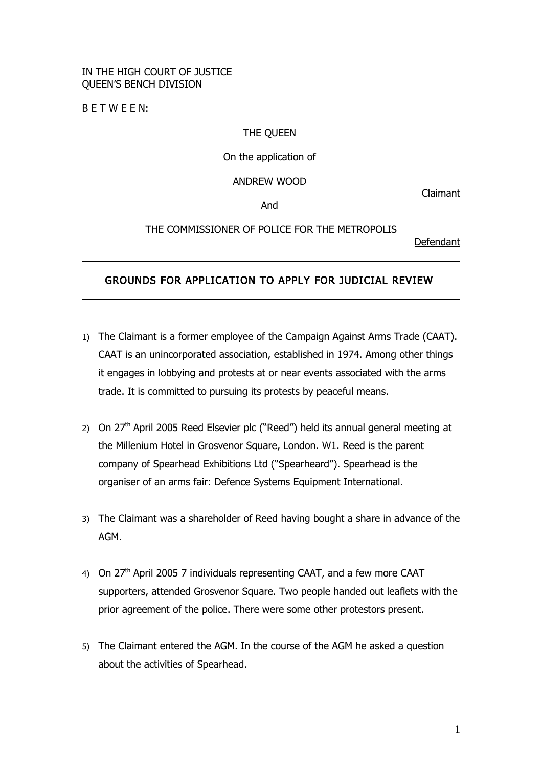## IN THE HIGH COURT OF JUSTICE QUEEN'S BENCH DIVISION

B E T W E E N:

#### THE QUEEN

### On the application of

### ANDREW WOOD

Claimant

And

# THE COMMISSIONER OF POLICE FOR THE METROPOLIS

Defendant

# GROUNDS FOR APPLICATION TO APPLY FOR JUDICIAL REVIEW

- 1) The Claimant is a former employee of the Campaign Against Arms Trade (CAAT). CAAT is an unincorporated association, established in 1974. Among other things it engages in lobbying and protests at or near events associated with the arms trade. It is committed to pursuing its protests by peaceful means.
- 2) On 27<sup>th</sup> April 2005 Reed Elsevier plc ("Reed") held its annual general meeting at the Millenium Hotel in Grosvenor Square, London. W1. Reed is the parent company of Spearhead Exhibitions Ltd ("Spearheard"). Spearhead is the organiser of an arms fair: Defence Systems Equipment International.
- 3) The Claimant was a shareholder of Reed having bought a share in advance of the AGM.
- 4) On 27<sup>th</sup> April 2005 7 individuals representing CAAT, and a few more CAAT supporters, attended Grosvenor Square. Two people handed out leaflets with the prior agreement of the police. There were some other protestors present.
- 5) The Claimant entered the AGM. In the course of the AGM he asked a question about the activities of Spearhead.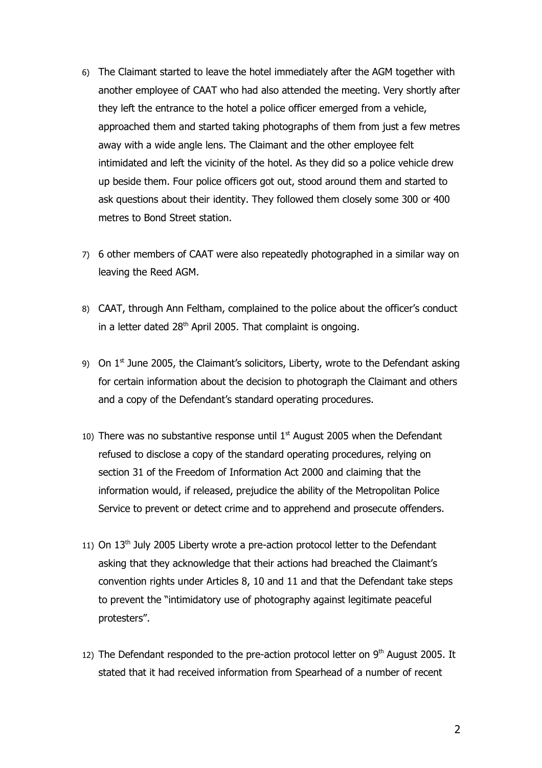- 6) The Claimant started to leave the hotel immediately after the AGM together with another employee of CAAT who had also attended the meeting. Very shortly after they left the entrance to the hotel a police officer emerged from a vehicle, approached them and started taking photographs of them from just a few metres away with a wide angle lens. The Claimant and the other employee felt intimidated and left the vicinity of the hotel. As they did so a police vehicle drew up beside them. Four police officers got out, stood around them and started to ask questions about their identity. They followed them closely some 300 or 400 metres to Bond Street station.
- 7) 6 other members of CAAT were also repeatedly photographed in a similar way on leaving the Reed AGM.
- 8) CAAT, through Ann Feltham, complained to the police about the officer's conduct in a letter dated  $28<sup>th</sup>$  April 2005. That complaint is ongoing.
- 9) On  $1<sup>st</sup>$  June 2005, the Claimant's solicitors, Liberty, wrote to the Defendant asking for certain information about the decision to photograph the Claimant and others and a copy of the Defendant's standard operating procedures.
- 10) There was no substantive response until  $1<sup>st</sup>$  August 2005 when the Defendant refused to disclose a copy of the standard operating procedures, relying on section 31 of the Freedom of Information Act 2000 and claiming that the information would, if released, prejudice the ability of the Metropolitan Police Service to prevent or detect crime and to apprehend and prosecute offenders.
- 11) On 13<sup>th</sup> July 2005 Liberty wrote a pre-action protocol letter to the Defendant asking that they acknowledge that their actions had breached the Claimant's convention rights under Articles 8, 10 and 11 and that the Defendant take steps to prevent the "intimidatory use of photography against legitimate peaceful protesters".
- 12) The Defendant responded to the pre-action protocol letter on  $9<sup>th</sup>$  August 2005. It stated that it had received information from Spearhead of a number of recent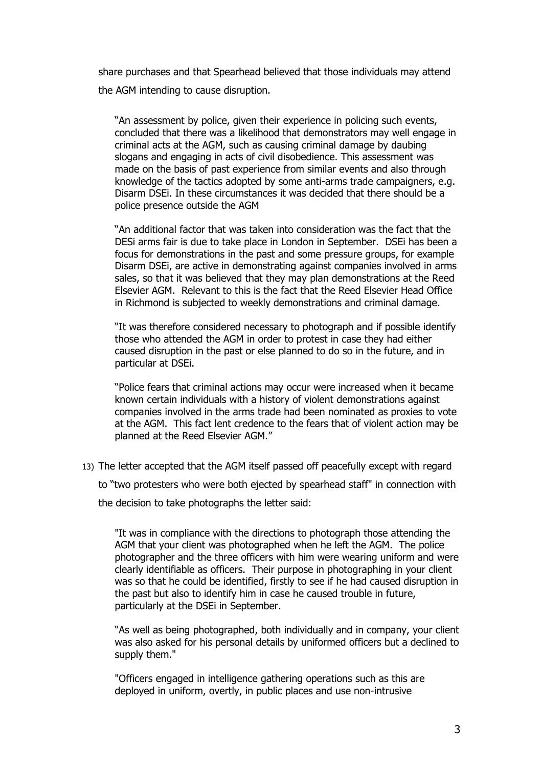share purchases and that Spearhead believed that those individuals may attend the AGM intending to cause disruption.

"An assessment by police, given their experience in policing such events, concluded that there was a likelihood that demonstrators may well engage in criminal acts at the AGM, such as causing criminal damage by daubing slogans and engaging in acts of civil disobedience. This assessment was made on the basis of past experience from similar events and also through knowledge of the tactics adopted by some anti-arms trade campaigners, e.g. Disarm DSEi. In these circumstances it was decided that there should be a police presence outside the AGM

"An additional factor that was taken into consideration was the fact that the DESi arms fair is due to take place in London in September. DSEi has been a focus for demonstrations in the past and some pressure groups, for example Disarm DSEi, are active in demonstrating against companies involved in arms sales, so that it was believed that they may plan demonstrations at the Reed Elsevier AGM. Relevant to this is the fact that the Reed Elsevier Head Office in Richmond is subjected to weekly demonstrations and criminal damage.

"It was therefore considered necessary to photograph and if possible identify those who attended the AGM in order to protest in case they had either caused disruption in the past or else planned to do so in the future, and in particular at DSEi.

"Police fears that criminal actions may occur were increased when it became known certain individuals with a history of violent demonstrations against companies involved in the arms trade had been nominated as proxies to vote at the AGM. This fact lent credence to the fears that of violent action may be planned at the Reed Elsevier AGM."

13) The letter accepted that the AGM itself passed off peacefully except with regard to "two protesters who were both ejected by spearhead staff" in connection with

the decision to take photographs the letter said:

"It was in compliance with the directions to photograph those attending the AGM that your client was photographed when he left the AGM. The police photographer and the three officers with him were wearing uniform and were clearly identifiable as officers. Their purpose in photographing in your client was so that he could be identified, firstly to see if he had caused disruption in the past but also to identify him in case he caused trouble in future, particularly at the DSEi in September.

"As well as being photographed, both individually and in company, your client was also asked for his personal details by uniformed officers but a declined to supply them."

"Officers engaged in intelligence gathering operations such as this are deployed in uniform, overtly, in public places and use non-intrusive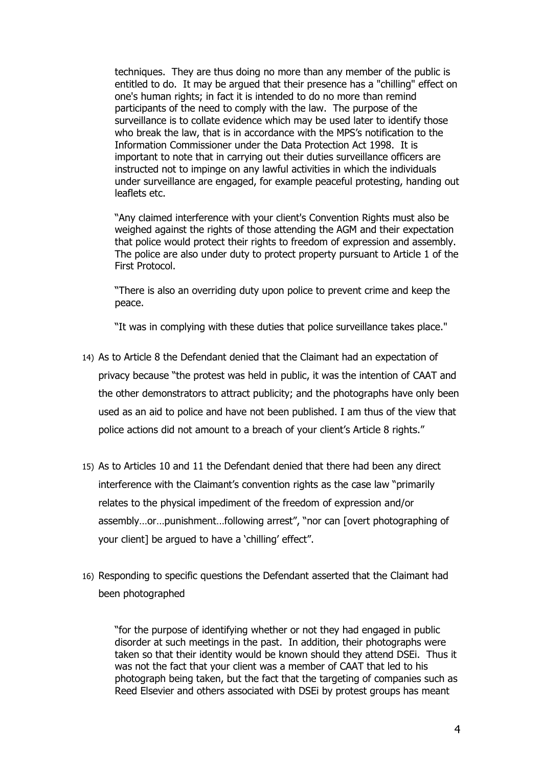techniques. They are thus doing no more than any member of the public is entitled to do. It may be argued that their presence has a "chilling" effect on one's human rights; in fact it is intended to do no more than remind participants of the need to comply with the law. The purpose of the surveillance is to collate evidence which may be used later to identify those who break the law, that is in accordance with the MPS's notification to the Information Commissioner under the Data Protection Act 1998. It is important to note that in carrying out their duties surveillance officers are instructed not to impinge on any lawful activities in which the individuals under surveillance are engaged, for example peaceful protesting, handing out leaflets etc.

"Any claimed interference with your client's Convention Rights must also be weighed against the rights of those attending the AGM and their expectation that police would protect their rights to freedom of expression and assembly. The police are also under duty to protect property pursuant to Article 1 of the First Protocol.

"There is also an overriding duty upon police to prevent crime and keep the peace.

"It was in complying with these duties that police surveillance takes place."

- 14) As to Article 8 the Defendant denied that the Claimant had an expectation of privacy because "the protest was held in public, it was the intention of CAAT and the other demonstrators to attract publicity; and the photographs have only been used as an aid to police and have not been published. I am thus of the view that police actions did not amount to a breach of your client's Article 8 rights."
- 15) As to Articles 10 and 11 the Defendant denied that there had been any direct interference with the Claimant's convention rights as the case law "primarily relates to the physical impediment of the freedom of expression and/or assembly…or…punishment…following arrest", "nor can [overt photographing of your client] be argued to have a 'chilling' effect".
- 16) Responding to specific questions the Defendant asserted that the Claimant had been photographed

"for the purpose of identifying whether or not they had engaged in public disorder at such meetings in the past. In addition, their photographs were taken so that their identity would be known should they attend DSEi. Thus it was not the fact that your client was a member of CAAT that led to his photograph being taken, but the fact that the targeting of companies such as Reed Elsevier and others associated with DSEi by protest groups has meant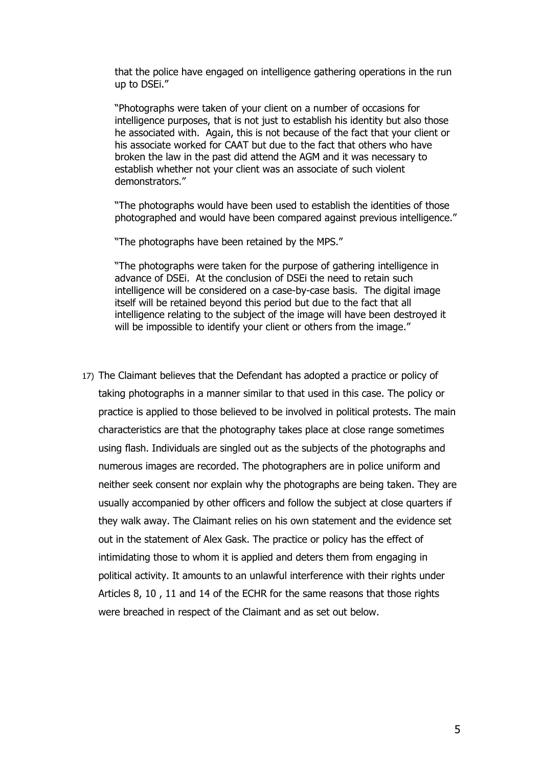that the police have engaged on intelligence gathering operations in the run up to DSEi."

"Photographs were taken of your client on a number of occasions for intelligence purposes, that is not just to establish his identity but also those he associated with. Again, this is not because of the fact that your client or his associate worked for CAAT but due to the fact that others who have broken the law in the past did attend the AGM and it was necessary to establish whether not your client was an associate of such violent demonstrators."

"The photographs would have been used to establish the identities of those photographed and would have been compared against previous intelligence."

"The photographs have been retained by the MPS."

"The photographs were taken for the purpose of gathering intelligence in advance of DSEi. At the conclusion of DSEi the need to retain such intelligence will be considered on a case-by-case basis. The digital image itself will be retained beyond this period but due to the fact that all intelligence relating to the subject of the image will have been destroyed it will be impossible to identify your client or others from the image."

17) The Claimant believes that the Defendant has adopted a practice or policy of taking photographs in a manner similar to that used in this case. The policy or practice is applied to those believed to be involved in political protests. The main characteristics are that the photography takes place at close range sometimes using flash. Individuals are singled out as the subjects of the photographs and numerous images are recorded. The photographers are in police uniform and neither seek consent nor explain why the photographs are being taken. They are usually accompanied by other officers and follow the subject at close quarters if they walk away. The Claimant relies on his own statement and the evidence set out in the statement of Alex Gask. The practice or policy has the effect of intimidating those to whom it is applied and deters them from engaging in political activity. It amounts to an unlawful interference with their rights under Articles 8, 10 , 11 and 14 of the ECHR for the same reasons that those rights were breached in respect of the Claimant and as set out below.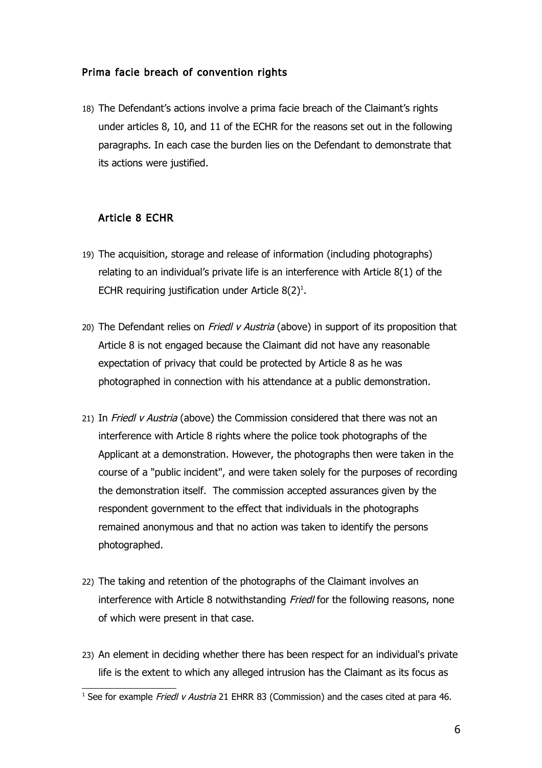# Prima facie breach of convention rights

18) The Defendant's actions involve a prima facie breach of the Claimant's rights under articles 8, 10, and 11 of the ECHR for the reasons set out in the following paragraphs. In each case the burden lies on the Defendant to demonstrate that its actions were justified.

# Article 8 ECHR

- 19) The acquisition, storage and release of information (including photographs) relating to an individual's private life is an interference with Article 8(1) of the ECHR requiring justification under Article  $8(2)^{1}$  $8(2)^{1}$  $8(2)^{1}$ .
- 20) The Defendant relies on *Friedl v Austria* (above) in support of its proposition that Article 8 is not engaged because the Claimant did not have any reasonable expectation of privacy that could be protected by Article 8 as he was photographed in connection with his attendance at a public demonstration.
- 21) In Friedl v Austria (above) the Commission considered that there was not an interference with Article 8 rights where the police took photographs of the Applicant at a demonstration. However, the photographs then were taken in the course of a "public incident", and were taken solely for the purposes of recording the demonstration itself. The commission accepted assurances given by the respondent government to the effect that individuals in the photographs remained anonymous and that no action was taken to identify the persons photographed.
- 22) The taking and retention of the photographs of the Claimant involves an interference with Article 8 notwithstanding Friedl for the following reasons, none of which were present in that case.
- 23) An element in deciding whether there has been respect for an individual's private life is the extent to which any alleged intrusion has the Claimant as its focus as

<span id="page-5-0"></span><sup>&</sup>lt;sup>1</sup> See for example *Friedl v Austria* 21 EHRR 83 (Commission) and the cases cited at para 46.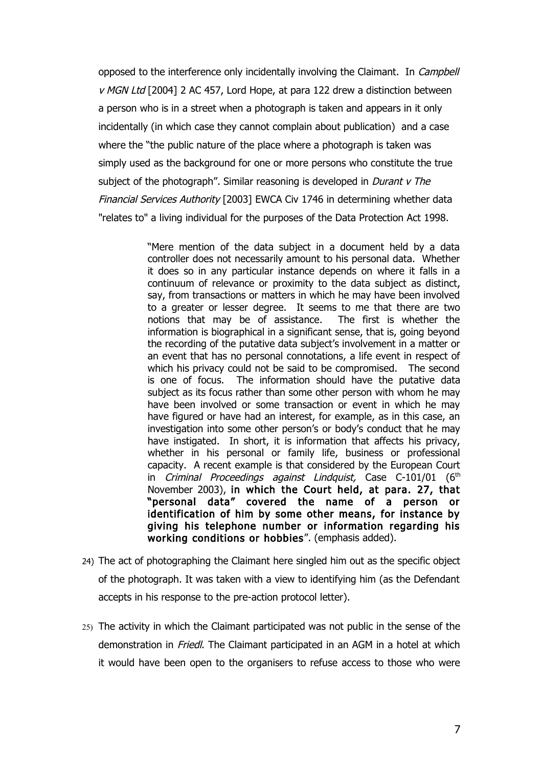opposed to the interference only incidentally involving the Claimant. In *Campbell* v MGN Ltd [2004] 2 AC 457, Lord Hope, at para 122 drew a distinction between a person who is in a street when a photograph is taken and appears in it only incidentally (in which case they cannot complain about publication) and a case where the "the public nature of the place where a photograph is taken was simply used as the background for one or more persons who constitute the true subject of the photograph". Similar reasoning is developed in *Durant v The* Financial Services Authority [2003] EWCA Civ 1746 in determining whether data "relates to" a living individual for the purposes of the Data Protection Act 1998.

> "Mere mention of the data subject in a document held by a data controller does not necessarily amount to his personal data. Whether it does so in any particular instance depends on where it falls in a continuum of relevance or proximity to the data subject as distinct, say, from transactions or matters in which he may have been involved to a greater or lesser degree. It seems to me that there are two notions that may be of assistance. The first is whether the information is biographical in a significant sense, that is, going beyond the recording of the putative data subject's involvement in a matter or an event that has no personal connotations, a life event in respect of which his privacy could not be said to be compromised. The second is one of focus. The information should have the putative data subject as its focus rather than some other person with whom he may have been involved or some transaction or event in which he may have figured or have had an interest, for example, as in this case, an investigation into some other person's or body's conduct that he may have instigated. In short, it is information that affects his privacy, whether in his personal or family life, business or professional capacity. A recent example is that considered by the European Court in Criminal Proceedings against Lindquist, Case C-101/01  $(6<sup>th</sup>$ November 2003), in which the Court held, at para. 27, that "personal data" covered the name of a person or identification of him by some other means, for instance by giving his telephone number or information regarding his working conditions or hobbies". (emphasis added).

- 24) The act of photographing the Claimant here singled him out as the specific object of the photograph. It was taken with a view to identifying him (as the Defendant accepts in his response to the pre-action protocol letter).
- 25) The activity in which the Claimant participated was not public in the sense of the demonstration in *Friedl*. The Claimant participated in an AGM in a hotel at which it would have been open to the organisers to refuse access to those who were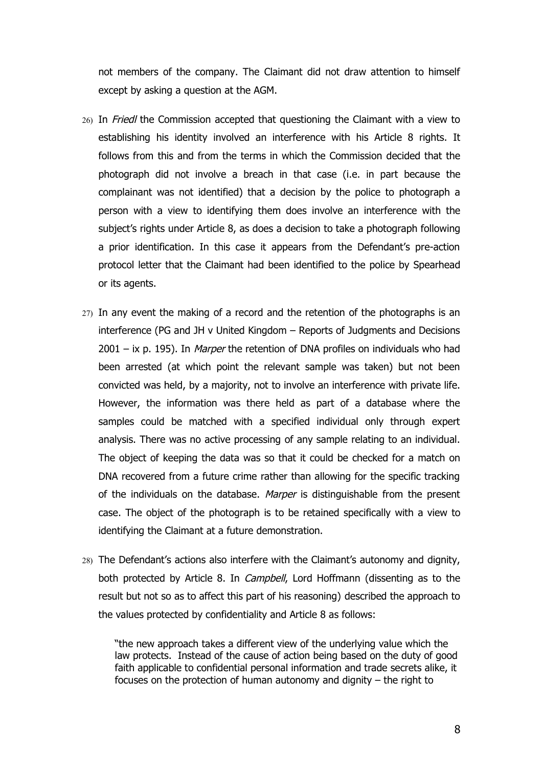not members of the company. The Claimant did not draw attention to himself except by asking a question at the AGM.

- 26) In Friedl the Commission accepted that questioning the Claimant with a view to establishing his identity involved an interference with his Article 8 rights. It follows from this and from the terms in which the Commission decided that the photograph did not involve a breach in that case (i.e. in part because the complainant was not identified) that a decision by the police to photograph a person with a view to identifying them does involve an interference with the subject's rights under Article 8, as does a decision to take a photograph following a prior identification. In this case it appears from the Defendant's pre-action protocol letter that the Claimant had been identified to the police by Spearhead or its agents.
- 27) In any event the making of a record and the retention of the photographs is an interference (PG and JH v United Kingdom – Reports of Judgments and Decisions  $2001 - ix$  p. 195). In *Marper* the retention of DNA profiles on individuals who had been arrested (at which point the relevant sample was taken) but not been convicted was held, by a majority, not to involve an interference with private life. However, the information was there held as part of a database where the samples could be matched with a specified individual only through expert analysis. There was no active processing of any sample relating to an individual. The object of keeping the data was so that it could be checked for a match on DNA recovered from a future crime rather than allowing for the specific tracking of the individuals on the database. Marper is distinguishable from the present case. The object of the photograph is to be retained specifically with a view to identifying the Claimant at a future demonstration.
- 28) The Defendant's actions also interfere with the Claimant's autonomy and dignity, both protected by Article 8. In *Campbell*, Lord Hoffmann (dissenting as to the result but not so as to affect this part of his reasoning) described the approach to the values protected by confidentiality and Article 8 as follows:

"the new approach takes a different view of the underlying value which the law protects. Instead of the cause of action being based on the duty of good faith applicable to confidential personal information and trade secrets alike, it focuses on the protection of human autonomy and dignity – the right to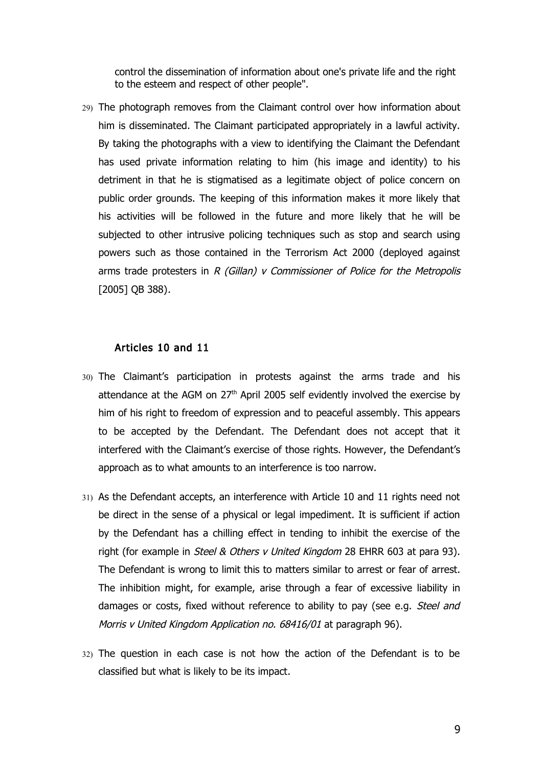control the dissemination of information about one's private life and the right to the esteem and respect of other people".

29) The photograph removes from the Claimant control over how information about him is disseminated. The Claimant participated appropriately in a lawful activity. By taking the photographs with a view to identifying the Claimant the Defendant has used private information relating to him (his image and identity) to his detriment in that he is stigmatised as a legitimate object of police concern on public order grounds. The keeping of this information makes it more likely that his activities will be followed in the future and more likely that he will be subjected to other intrusive policing techniques such as stop and search using powers such as those contained in the Terrorism Act 2000 (deployed against arms trade protesters in  $R$  (Gillan) v Commissioner of Police for the Metropolis [2005] QB 388).

#### Articles 10 and 11

- 30) The Claimant's participation in protests against the arms trade and his attendance at the AGM on  $27<sup>th</sup>$  April 2005 self evidently involved the exercise by him of his right to freedom of expression and to peaceful assembly. This appears to be accepted by the Defendant. The Defendant does not accept that it interfered with the Claimant's exercise of those rights. However, the Defendant's approach as to what amounts to an interference is too narrow.
- 31) As the Defendant accepts, an interference with Article 10 and 11 rights need not be direct in the sense of a physical or legal impediment. It is sufficient if action by the Defendant has a chilling effect in tending to inhibit the exercise of the right (for example in *Steel & Others v United Kingdom* 28 EHRR 603 at para 93). The Defendant is wrong to limit this to matters similar to arrest or fear of arrest. The inhibition might, for example, arise through a fear of excessive liability in damages or costs, fixed without reference to ability to pay (see e.g. *Steel and* Morris v United Kingdom Application no. 68416/01 at paragraph 96).
- 32) The question in each case is not how the action of the Defendant is to be classified but what is likely to be its impact.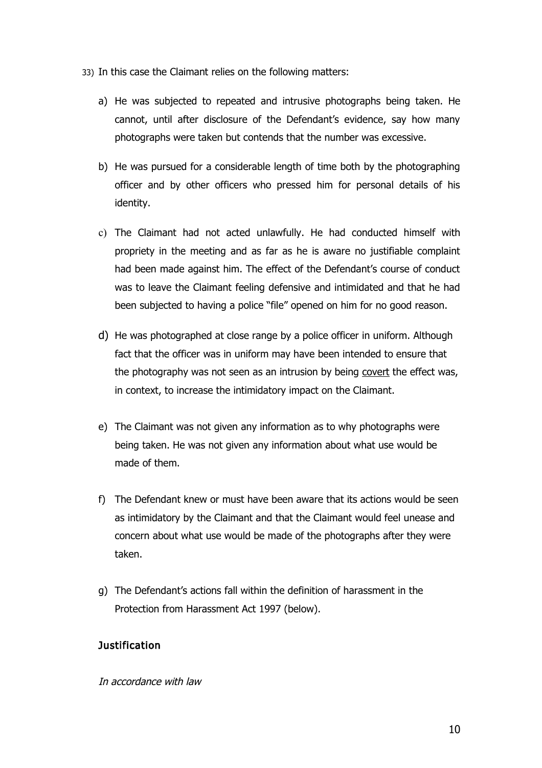- 33) In this case the Claimant relies on the following matters:
	- a) He was subjected to repeated and intrusive photographs being taken. He cannot, until after disclosure of the Defendant's evidence, say how many photographs were taken but contends that the number was excessive.
	- b) He was pursued for a considerable length of time both by the photographing officer and by other officers who pressed him for personal details of his identity.
	- c) The Claimant had not acted unlawfully. He had conducted himself with propriety in the meeting and as far as he is aware no justifiable complaint had been made against him. The effect of the Defendant's course of conduct was to leave the Claimant feeling defensive and intimidated and that he had been subjected to having a police "file" opened on him for no good reason.
	- d) He was photographed at close range by a police officer in uniform. Although fact that the officer was in uniform may have been intended to ensure that the photography was not seen as an intrusion by being covert the effect was, in context, to increase the intimidatory impact on the Claimant.
	- e) The Claimant was not given any information as to why photographs were being taken. He was not given any information about what use would be made of them.
	- f) The Defendant knew or must have been aware that its actions would be seen as intimidatory by the Claimant and that the Claimant would feel unease and concern about what use would be made of the photographs after they were taken.
	- g) The Defendant's actions fall within the definition of harassment in the Protection from Harassment Act 1997 (below).

# **Justification**

#### In accordance with law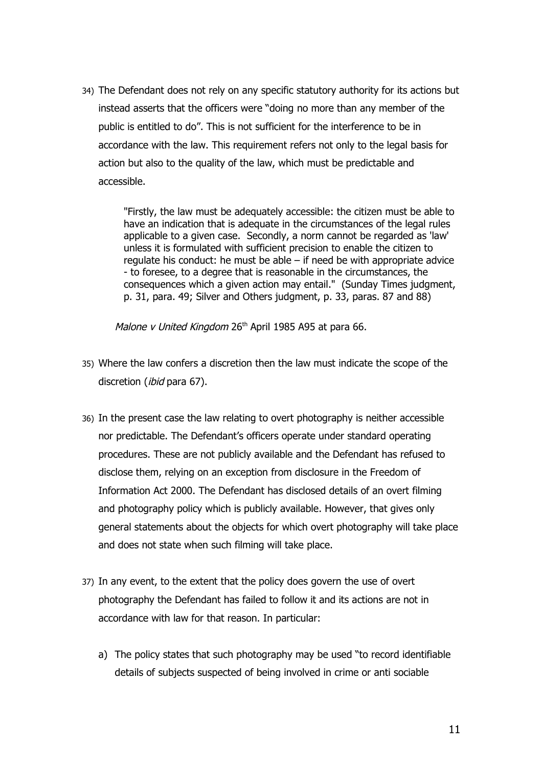34) The Defendant does not rely on any specific statutory authority for its actions but instead asserts that the officers were "doing no more than any member of the public is entitled to do". This is not sufficient for the interference to be in accordance with the law. This requirement refers not only to the legal basis for action but also to the quality of the law, which must be predictable and accessible.

> "Firstly, the law must be adequately accessible: the citizen must be able to have an indication that is adequate in the circumstances of the legal rules applicable to a given case. Secondly, a norm cannot be regarded as 'law' unless it is formulated with sufficient precision to enable the citizen to regulate his conduct: he must be able – if need be with appropriate advice - to foresee, to a degree that is reasonable in the circumstances, the consequences which a given action may entail." (Sunday Times judgment, p. 31, para. 49; Silver and Others judgment, p. 33, paras. 87 and 88)

Malone v United Kingdom 26<sup>th</sup> April 1985 A95 at para 66.

- 35) Where the law confers a discretion then the law must indicate the scope of the discretion (*ibid* para 67).
- 36) In the present case the law relating to overt photography is neither accessible nor predictable. The Defendant's officers operate under standard operating procedures. These are not publicly available and the Defendant has refused to disclose them, relying on an exception from disclosure in the Freedom of Information Act 2000. The Defendant has disclosed details of an overt filming and photography policy which is publicly available. However, that gives only general statements about the objects for which overt photography will take place and does not state when such filming will take place.
- 37) In any event, to the extent that the policy does govern the use of overt photography the Defendant has failed to follow it and its actions are not in accordance with law for that reason. In particular:
	- a) The policy states that such photography may be used "to record identifiable details of subjects suspected of being involved in crime or anti sociable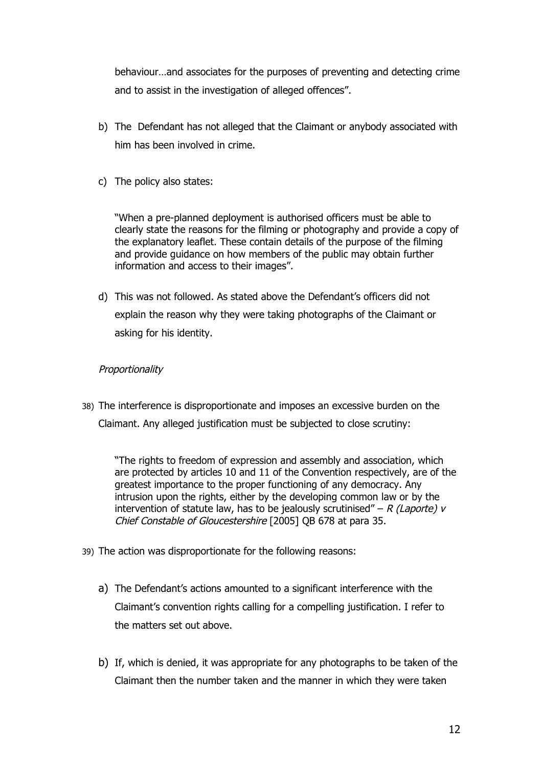behaviour…and associates for the purposes of preventing and detecting crime and to assist in the investigation of alleged offences".

- b) The Defendant has not alleged that the Claimant or anybody associated with him has been involved in crime.
- c) The policy also states:

"When a pre-planned deployment is authorised officers must be able to clearly state the reasons for the filming or photography and provide a copy of the explanatory leaflet. These contain details of the purpose of the filming and provide guidance on how members of the public may obtain further information and access to their images".

d) This was not followed. As stated above the Defendant's officers did not explain the reason why they were taking photographs of the Claimant or asking for his identity.

# **Proportionality**

38) The interference is disproportionate and imposes an excessive burden on the Claimant. Any alleged justification must be subjected to close scrutiny:

"The rights to freedom of expression and assembly and association, which are protected by articles 10 and 11 of the Convention respectively, are of the greatest importance to the proper functioning of any democracy. Any intrusion upon the rights, either by the developing common law or by the intervention of statute law, has to be jealously scrutinised" – R (Laporte) v Chief Constable of Gloucestershire [2005] QB 678 at para 35.

- 39) The action was disproportionate for the following reasons:
	- a) The Defendant's actions amounted to a significant interference with the Claimant's convention rights calling for a compelling justification. I refer to the matters set out above.
	- b) If, which is denied, it was appropriate for any photographs to be taken of the Claimant then the number taken and the manner in which they were taken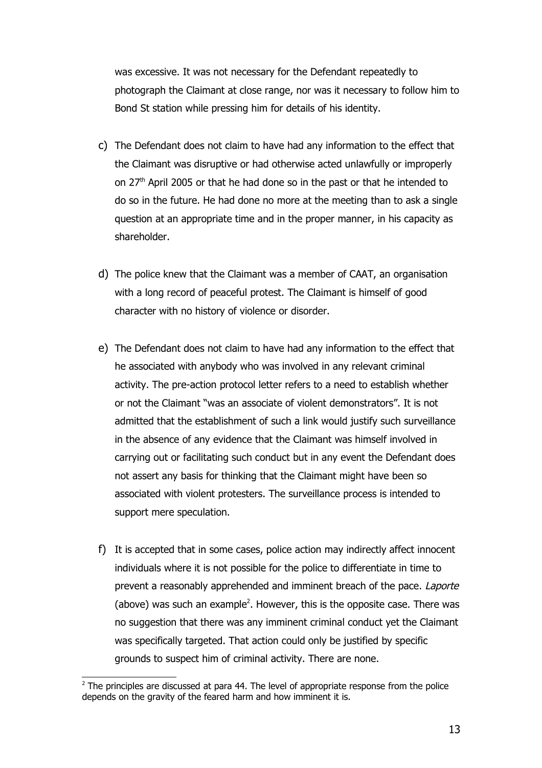was excessive. It was not necessary for the Defendant repeatedly to photograph the Claimant at close range, nor was it necessary to follow him to Bond St station while pressing him for details of his identity.

- c) The Defendant does not claim to have had any information to the effect that the Claimant was disruptive or had otherwise acted unlawfully or improperly on 27th April 2005 or that he had done so in the past or that he intended to do so in the future. He had done no more at the meeting than to ask a single question at an appropriate time and in the proper manner, in his capacity as shareholder.
- d) The police knew that the Claimant was a member of CAAT, an organisation with a long record of peaceful protest. The Claimant is himself of good character with no history of violence or disorder.
- e) The Defendant does not claim to have had any information to the effect that he associated with anybody who was involved in any relevant criminal activity. The pre-action protocol letter refers to a need to establish whether or not the Claimant "was an associate of violent demonstrators". It is not admitted that the establishment of such a link would justify such surveillance in the absence of any evidence that the Claimant was himself involved in carrying out or facilitating such conduct but in any event the Defendant does not assert any basis for thinking that the Claimant might have been so associated with violent protesters. The surveillance process is intended to support mere speculation.
- f) It is accepted that in some cases, police action may indirectly affect innocent individuals where it is not possible for the police to differentiate in time to prevent a reasonably apprehended and imminent breach of the pace. Laporte (above) was such an example<sup>[2](#page-12-0)</sup>. However, this is the opposite case. There was no suggestion that there was any imminent criminal conduct yet the Claimant was specifically targeted. That action could only be justified by specific grounds to suspect him of criminal activity. There are none.

<span id="page-12-0"></span> $2$  The principles are discussed at para 44. The level of appropriate response from the police depends on the gravity of the feared harm and how imminent it is.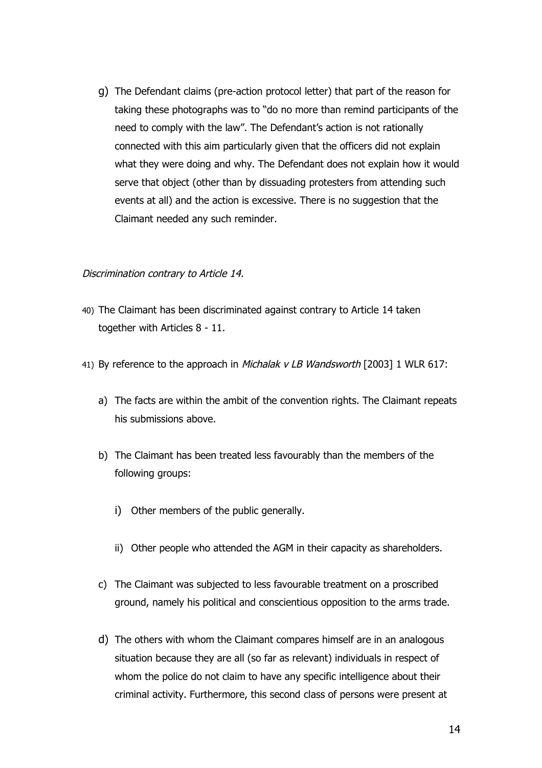g) The Defendant claims (pre-action protocol letter) that part of the reason for taking these photographs was to "do no more than remind participants of the need to comply with the law". The Defendant's action is not rationally connected with this aim particularly given that the officers did not explain what they were doing and why. The Defendant does not explain how it would serve that object (other than by dissuading protesters from attending such events at all) and the action is excessive. There is no suggestion that the Claimant needed any such reminder.

# Discrimination contrary to Article 14.

- 40) The Claimant has been discriminated against contrary to Article 14 taken together with Articles 8 - 11.
- 41) By reference to the approach in Michalak v LB Wandsworth [2003] 1 WLR 617:
	- a) The facts are within the ambit of the convention rights. The Claimant repeats his submissions above.
	- b) The Claimant has been treated less favourably than the members of the following groups:
		- i) Other members of the public generally.
		- ii) Other people who attended the AGM in their capacity as shareholders.
	- c) The Claimant was subjected to less favourable treatment on a proscribed ground, namely his political and conscientious opposition to the arms trade.
	- d) The others with whom the Claimant compares himself are in an analogous situation because they are all (so far as relevant) individuals in respect of whom the police do not claim to have any specific intelligence about their criminal activity. Furthermore, this second class of persons were present at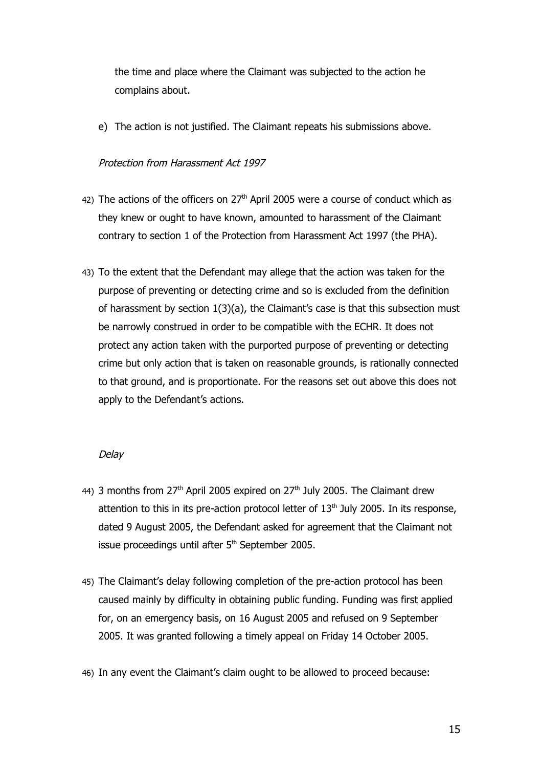the time and place where the Claimant was subjected to the action he complains about.

e) The action is not justified. The Claimant repeats his submissions above.

# Protection from Harassment Act 1997

- 42) The actions of the officers on  $27<sup>th</sup>$  April 2005 were a course of conduct which as they knew or ought to have known, amounted to harassment of the Claimant contrary to section 1 of the Protection from Harassment Act 1997 (the PHA).
- 43) To the extent that the Defendant may allege that the action was taken for the purpose of preventing or detecting crime and so is excluded from the definition of harassment by section  $1(3)(a)$ , the Claimant's case is that this subsection must be narrowly construed in order to be compatible with the ECHR. It does not protect any action taken with the purported purpose of preventing or detecting crime but only action that is taken on reasonable grounds, is rationally connected to that ground, and is proportionate. For the reasons set out above this does not apply to the Defendant's actions.

## Delay

- 44) 3 months from  $27<sup>th</sup>$  April 2005 expired on  $27<sup>th</sup>$  July 2005. The Claimant drew attention to this in its pre-action protocol letter of  $13<sup>th</sup>$  July 2005. In its response, dated 9 August 2005, the Defendant asked for agreement that the Claimant not issue proceedings until after 5<sup>th</sup> September 2005.
- 45) The Claimant's delay following completion of the pre-action protocol has been caused mainly by difficulty in obtaining public funding. Funding was first applied for, on an emergency basis, on 16 August 2005 and refused on 9 September 2005. It was granted following a timely appeal on Friday 14 October 2005.
- 46) In any event the Claimant's claim ought to be allowed to proceed because: